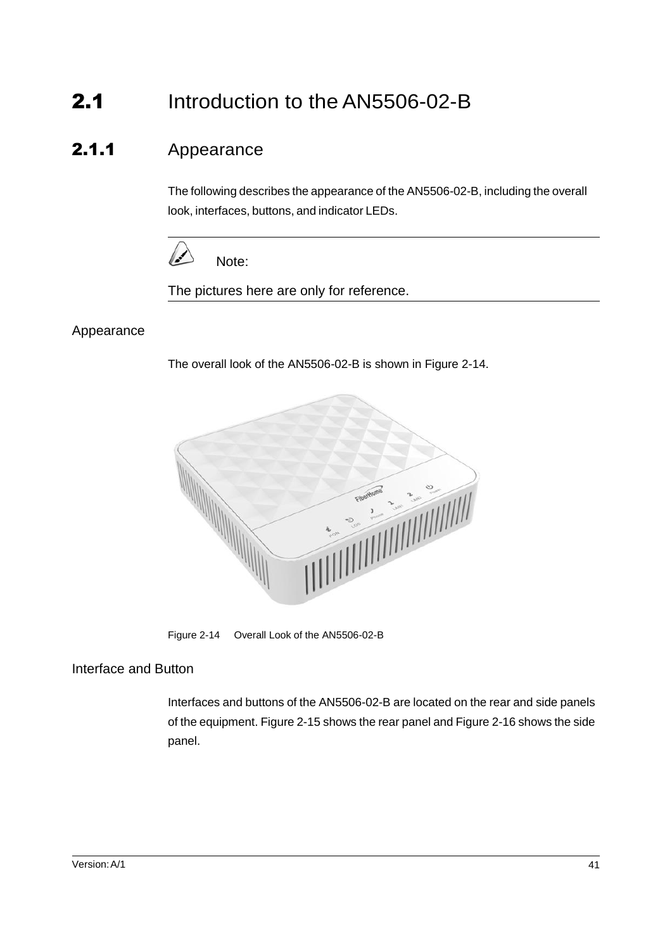# 2.1 Introduction to the AN5506-02-B

## 2.1.1 Appearance

The following describes the appearance of the AN5506-02-B, including the overall look, interfaces, buttons, and indicator LEDs.



The pictures here are only for reference.

### Appearance

The overall look of the AN5506-02-B is shown in [Figure 2-14.](#page-0-0)



Figure 2-14 Overall Look of the AN5506-02-B

#### Interface and Button

<span id="page-0-0"></span>Interfaces and buttons of the AN5506-02-B are located on the rear and side panels of the equipment. [Figure](#page-1-0) 2-15 shows the rear panel and [Figure](#page-1-1) 2-16 shows the side panel.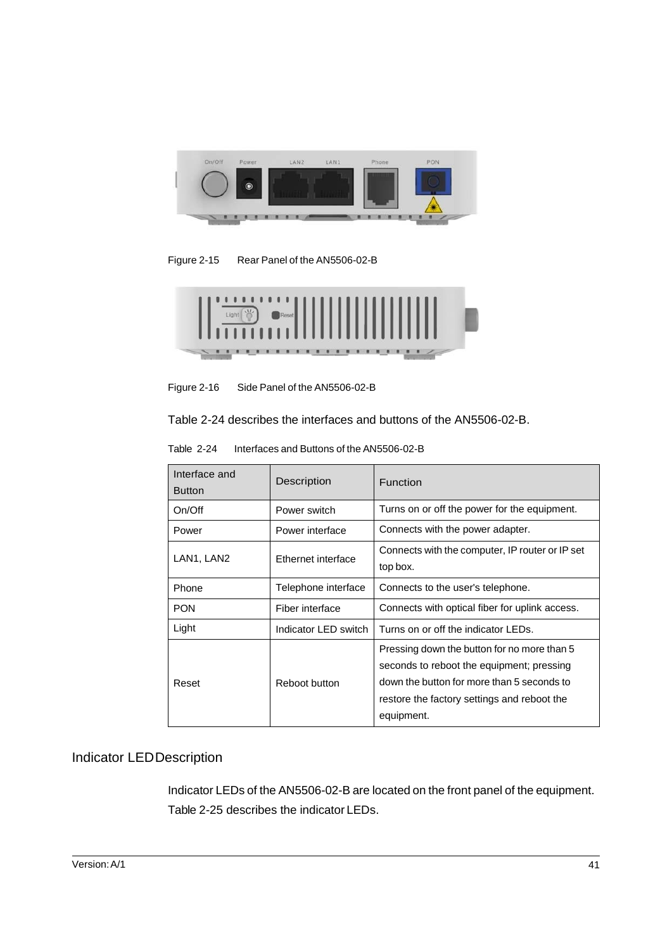

Figure 2-15 Rear Panel of the AN5506-02-B

<span id="page-1-0"></span>

<span id="page-1-1"></span>Figure 2-16 Side Panel of the AN5506-02-B

[Table 2-24](#page-1-2) describes the interfaces and buttons of the AN5506-02-B.

<span id="page-1-2"></span>

| Table 2-24 | Interfaces and Buttons of the AN5506-02-B |
|------------|-------------------------------------------|
|------------|-------------------------------------------|

| Interface and<br><b>Button</b> | Description                                                  | <b>Function</b>                                                                                                                                                                                     |
|--------------------------------|--------------------------------------------------------------|-----------------------------------------------------------------------------------------------------------------------------------------------------------------------------------------------------|
| On/Off                         | Turns on or off the power for the equipment.<br>Power switch |                                                                                                                                                                                                     |
| Power                          | Power interface                                              | Connects with the power adapter.                                                                                                                                                                    |
| LAN1, LAN2                     | Ethernet interface                                           | Connects with the computer, IP router or IP set<br>top box.                                                                                                                                         |
| Phone                          | Telephone interface                                          | Connects to the user's telephone.                                                                                                                                                                   |
| <b>PON</b>                     | Fiber interface                                              | Connects with optical fiber for uplink access.                                                                                                                                                      |
| Light                          | Indicator LED switch                                         | Turns on or off the indicator LEDs.                                                                                                                                                                 |
| Reset                          | Reboot button                                                | Pressing down the button for no more than 5<br>seconds to reboot the equipment; pressing<br>down the button for more than 5 seconds to<br>restore the factory settings and reboot the<br>equipment. |

### Indicator LEDDescription

Indicator LEDs of the AN5506-02-B are located on the front panel of the equipment. [Table 2-25](#page-2-0) describes the indicator LEDs.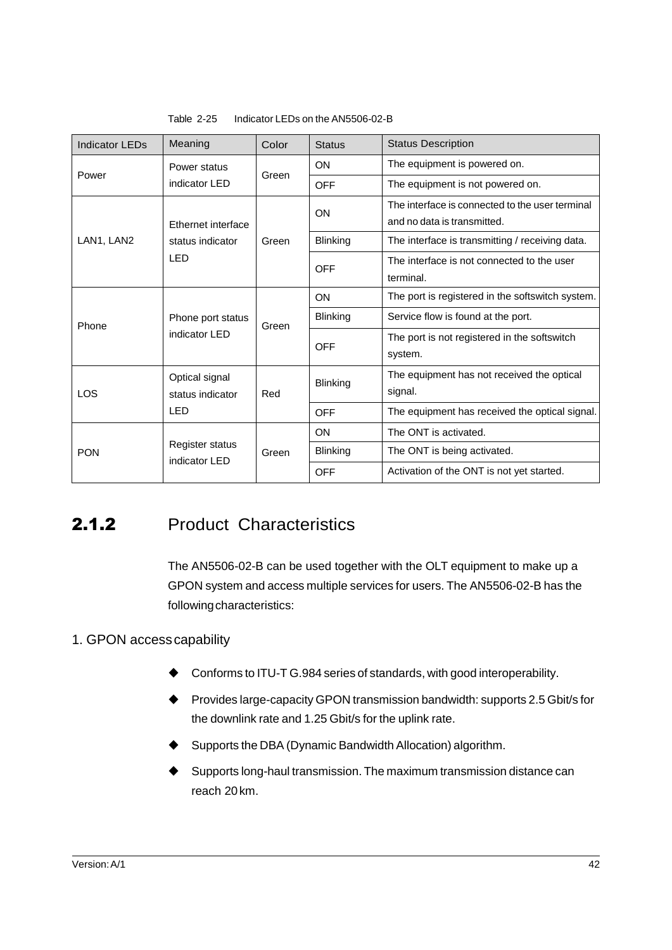<span id="page-2-0"></span>

| <b>Indicator LEDs</b> | Meaning                            | Color | <b>Status</b>   | <b>Status Description</b>                        |
|-----------------------|------------------------------------|-------|-----------------|--------------------------------------------------|
| Power                 | Power status                       | Green | ON              | The equipment is powered on.                     |
|                       | indicator LED                      |       | <b>OFF</b>      | The equipment is not powered on.                 |
|                       |                                    | Green | ON              | The interface is connected to the user terminal  |
|                       | Ethernet interface                 |       |                 | and no data is transmitted.                      |
| LAN1, LAN2            | status indicator<br><b>LED</b>     |       | <b>Blinking</b> | The interface is transmitting / receiving data.  |
|                       |                                    |       | <b>OFF</b>      | The interface is not connected to the user       |
|                       |                                    |       |                 | terminal.                                        |
| Phone                 | Phone port status<br>indicator LED | Green | <b>ON</b>       | The port is registered in the softswitch system. |
|                       |                                    |       | Blinking        | Service flow is found at the port.               |
|                       |                                    |       | <b>OFF</b>      | The port is not registered in the softswitch     |
|                       |                                    |       |                 | system.                                          |
| <b>LOS</b>            | Optical signal                     | Red   | Blinking        | The equipment has not received the optical       |
|                       | status indicator                   |       |                 | signal.                                          |
|                       | <b>LED</b>                         |       | <b>OFF</b>      | The equipment has received the optical signal.   |
| <b>PON</b>            | Register status<br>indicator LED   | Green | ON              | The ONT is activated.                            |
|                       |                                    |       | <b>Blinking</b> | The ONT is being activated.                      |
|                       |                                    |       | OFF             | Activation of the ONT is not yet started.        |

#### Table 2-25 Indicator LEDs on the AN5506-02-B

## 2.1.2 Product Characteristics

The AN5506-02-B can be used together with the OLT equipment to make up a GPON system and access multiple services for users. The AN5506-02-B has the followingcharacteristics:

#### 1. GPON accesscapability

- ◆ Conforms to ITU-T G.984 series of standards, with good interoperability.
- ◆ Provides large-capacity GPON transmission bandwidth: supports 2.5 Gbit/s for the downlink rate and 1.25 Gbit/s for the uplink rate.
- Supports the DBA (Dynamic Bandwidth Allocation) algorithm.
- Supports long-haul transmission. The maximum transmission distance can reach 20km.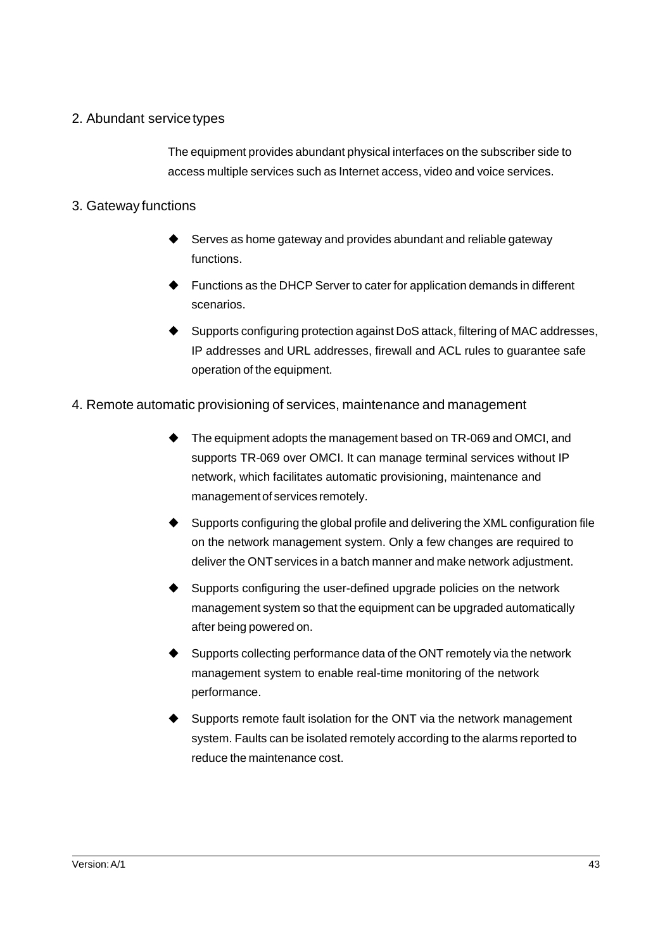### 2. Abundant servicetypes

The equipment provides abundant physical interfaces on the subscriber side to access multiple services such as Internet access, video and voice services.

#### 3. Gateway functions

- Serves as home gateway and provides abundant and reliable gateway functions.
- Functions as the DHCP Server to cater for application demands in different scenarios.
- ◆ Supports configuring protection against DoS attack, filtering of MAC addresses, IP addresses and URL addresses, firewall and ACL rules to guarantee safe operation of the equipment.
- 4. Remote automatic provisioning of services, maintenance and management
	- ◆ The equipment adopts the management based on TR-069 and OMCI, and supports TR-069 over OMCI. It can manage terminal services without IP network, which facilitates automatic provisioning, maintenance and management of services remotely.
	- Supports configuring the global profile and delivering the XML configuration file on the network management system. Only a few changes are required to deliver the ONT services in a batch manner and make network adjustment.
	- Supports configuring the user-defined upgrade policies on the network management system so that the equipment can be upgraded automatically after being powered on.
	- Supports collecting performance data of the ONT remotely via the network management system to enable real-time monitoring of the network performance.
	- Supports remote fault isolation for the ONT via the network management system. Faults can be isolated remotely according to the alarms reported to reduce the maintenance cost.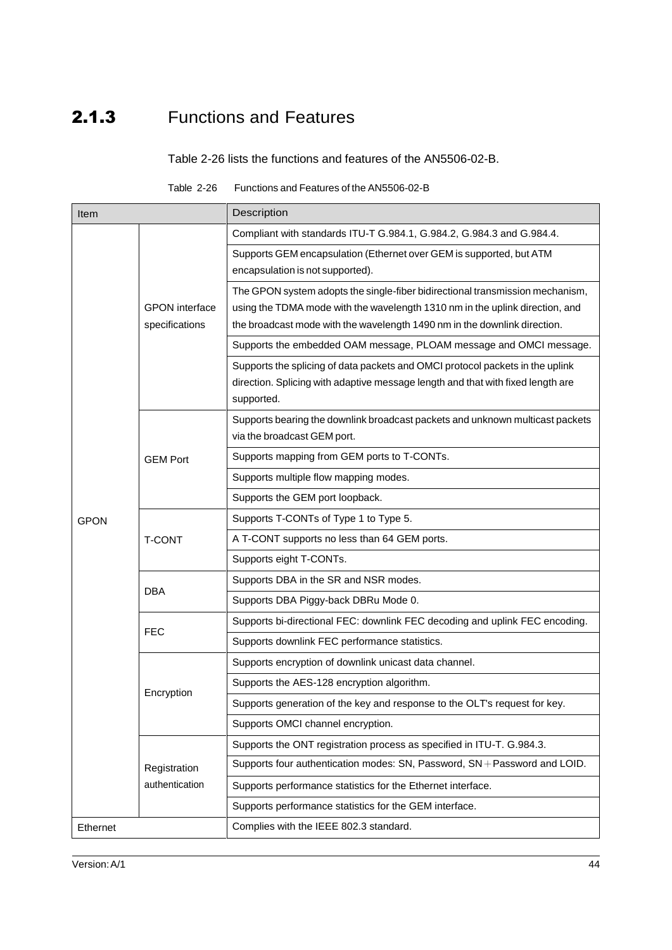# 2.1.3 Functions and Features

#### [Table 2-26](#page-4-0) lists the functions and features of the AN5506-02-B.

| Table 2-26 | Functions and Features of the AN5506-02-B |  |
|------------|-------------------------------------------|--|
|            |                                           |  |

<span id="page-4-0"></span>

| Item        |                                         | Description                                                                                                                                                                                                                                |
|-------------|-----------------------------------------|--------------------------------------------------------------------------------------------------------------------------------------------------------------------------------------------------------------------------------------------|
|             | <b>GPON</b> interface<br>specifications | Compliant with standards ITU-T G.984.1, G.984.2, G.984.3 and G.984.4.                                                                                                                                                                      |
|             |                                         | Supports GEM encapsulation (Ethernet over GEM is supported, but ATM<br>encapsulation is not supported).                                                                                                                                    |
|             |                                         | The GPON system adopts the single-fiber bidirectional transmission mechanism,<br>using the TDMA mode with the wavelength 1310 nm in the uplink direction, and<br>the broadcast mode with the wavelength 1490 nm in the downlink direction. |
|             |                                         | Supports the embedded OAM message, PLOAM message and OMCI message.                                                                                                                                                                         |
|             |                                         | Supports the splicing of data packets and OMCI protocol packets in the uplink<br>direction. Splicing with adaptive message length and that with fixed length are<br>supported.                                                             |
|             |                                         | Supports bearing the downlink broadcast packets and unknown multicast packets<br>via the broadcast GEM port.                                                                                                                               |
|             | <b>GEM Port</b>                         | Supports mapping from GEM ports to T-CONTs.                                                                                                                                                                                                |
|             |                                         | Supports multiple flow mapping modes.                                                                                                                                                                                                      |
|             |                                         | Supports the GEM port loopback.                                                                                                                                                                                                            |
| <b>GPON</b> |                                         | Supports T-CONTs of Type 1 to Type 5.                                                                                                                                                                                                      |
|             | <b>T-CONT</b>                           | A T-CONT supports no less than 64 GEM ports.                                                                                                                                                                                               |
|             |                                         | Supports eight T-CONTs.                                                                                                                                                                                                                    |
|             | <b>DBA</b>                              | Supports DBA in the SR and NSR modes.                                                                                                                                                                                                      |
|             |                                         | Supports DBA Piggy-back DBRu Mode 0.                                                                                                                                                                                                       |
|             | <b>FEC</b>                              | Supports bi-directional FEC: downlink FEC decoding and uplink FEC encoding.                                                                                                                                                                |
|             |                                         | Supports downlink FEC performance statistics.                                                                                                                                                                                              |
|             |                                         | Supports encryption of downlink unicast data channel.                                                                                                                                                                                      |
|             | Encryption                              | Supports the AES-128 encryption algorithm.                                                                                                                                                                                                 |
|             |                                         | Supports generation of the key and response to the OLT's request for key.                                                                                                                                                                  |
|             |                                         | Supports OMCI channel encryption.                                                                                                                                                                                                          |
|             | Registration<br>authentication          | Supports the ONT registration process as specified in ITU-T. G.984.3.                                                                                                                                                                      |
|             |                                         | Supports four authentication modes: SN, Password, SN + Password and LOID.                                                                                                                                                                  |
|             |                                         | Supports performance statistics for the Ethernet interface.                                                                                                                                                                                |
|             |                                         | Supports performance statistics for the GEM interface.                                                                                                                                                                                     |
| Ethernet    |                                         | Complies with the IEEE 802.3 standard.                                                                                                                                                                                                     |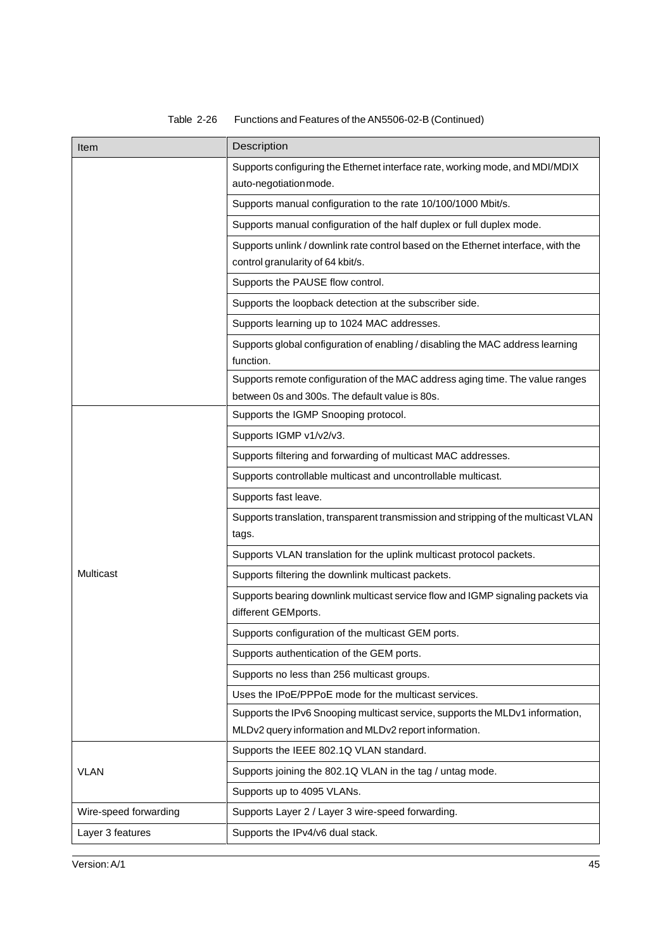#### Table 2-26 Functions and Features of the AN5506-02-B (Continued)

| Item                  | Description                                                                                                                            |
|-----------------------|----------------------------------------------------------------------------------------------------------------------------------------|
|                       | Supports configuring the Ethernet interface rate, working mode, and MDI/MDIX<br>auto-negotiation mode.                                 |
|                       | Supports manual configuration to the rate 10/100/1000 Mbit/s.                                                                          |
|                       | Supports manual configuration of the half duplex or full duplex mode.                                                                  |
|                       | Supports unlink / downlink rate control based on the Ethernet interface, with the<br>control granularity of 64 kbit/s.                 |
|                       | Supports the PAUSE flow control.                                                                                                       |
|                       | Supports the loopback detection at the subscriber side.                                                                                |
|                       | Supports learning up to 1024 MAC addresses.                                                                                            |
|                       | Supports global configuration of enabling / disabling the MAC address learning<br>function.                                            |
|                       | Supports remote configuration of the MAC address aging time. The value ranges<br>between 0s and 300s. The default value is 80s.        |
|                       | Supports the IGMP Snooping protocol.                                                                                                   |
|                       | Supports IGMP v1/v2/v3.                                                                                                                |
|                       | Supports filtering and forwarding of multicast MAC addresses.                                                                          |
|                       | Supports controllable multicast and uncontrollable multicast.                                                                          |
|                       | Supports fast leave.                                                                                                                   |
|                       | Supports translation, transparent transmission and stripping of the multicast VLAN<br>tags.                                            |
|                       | Supports VLAN translation for the uplink multicast protocol packets.                                                                   |
| Multicast             | Supports filtering the downlink multicast packets.                                                                                     |
|                       | Supports bearing downlink multicast service flow and IGMP signaling packets via<br>different GEMports.                                 |
|                       | Supports configuration of the multicast GEM ports.                                                                                     |
|                       | Supports authentication of the GEM ports.                                                                                              |
|                       | Supports no less than 256 multicast groups.                                                                                            |
|                       | Uses the IPoE/PPPoE mode for the multicast services.                                                                                   |
|                       | Supports the IPv6 Snooping multicast service, supports the MLDv1 information,<br>MLDv2 query information and MLDv2 report information. |
|                       | Supports the IEEE 802.1Q VLAN standard.                                                                                                |
| <b>VLAN</b>           | Supports joining the 802.1Q VLAN in the tag / untag mode.                                                                              |
|                       | Supports up to 4095 VLANs.                                                                                                             |
| Wire-speed forwarding | Supports Layer 2 / Layer 3 wire-speed forwarding.                                                                                      |
| Layer 3 features      | Supports the IPv4/v6 dual stack.                                                                                                       |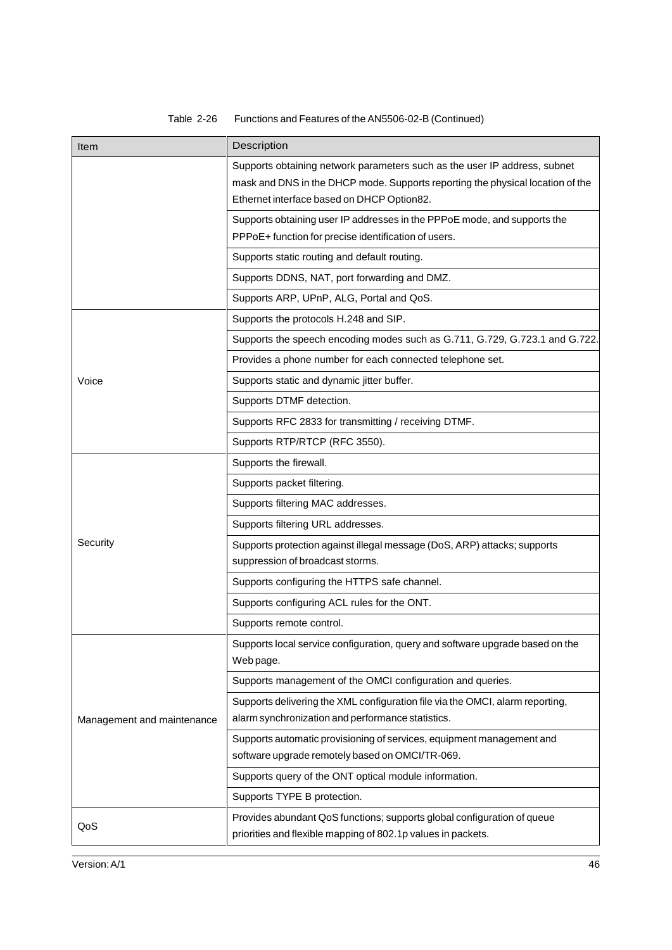| Table 2-26 | Functions and Features of the AN5506-02-B (Continued) |  |
|------------|-------------------------------------------------------|--|
|------------|-------------------------------------------------------|--|

| Item                       | Description                                                                                                                                                                                               |
|----------------------------|-----------------------------------------------------------------------------------------------------------------------------------------------------------------------------------------------------------|
|                            | Supports obtaining network parameters such as the user IP address, subnet<br>mask and DNS in the DHCP mode. Supports reporting the physical location of the<br>Ethernet interface based on DHCP Option82. |
|                            | Supports obtaining user IP addresses in the PPPoE mode, and supports the<br>PPPoE+ function for precise identification of users.                                                                          |
|                            | Supports static routing and default routing.                                                                                                                                                              |
|                            | Supports DDNS, NAT, port forwarding and DMZ.                                                                                                                                                              |
|                            | Supports ARP, UPnP, ALG, Portal and QoS.                                                                                                                                                                  |
|                            | Supports the protocols H.248 and SIP.                                                                                                                                                                     |
|                            | Supports the speech encoding modes such as G.711, G.729, G.723.1 and G.722.                                                                                                                               |
|                            | Provides a phone number for each connected telephone set.                                                                                                                                                 |
| Voice                      | Supports static and dynamic jitter buffer.                                                                                                                                                                |
|                            | Supports DTMF detection.                                                                                                                                                                                  |
|                            | Supports RFC 2833 for transmitting / receiving DTMF.                                                                                                                                                      |
|                            | Supports RTP/RTCP (RFC 3550).                                                                                                                                                                             |
|                            | Supports the firewall.                                                                                                                                                                                    |
|                            | Supports packet filtering.                                                                                                                                                                                |
|                            | Supports filtering MAC addresses.                                                                                                                                                                         |
|                            | Supports filtering URL addresses.                                                                                                                                                                         |
| Security                   | Supports protection against illegal message (DoS, ARP) attacks; supports<br>suppression of broadcast storms.                                                                                              |
|                            | Supports configuring the HTTPS safe channel.                                                                                                                                                              |
|                            | Supports configuring ACL rules for the ONT.                                                                                                                                                               |
|                            | Supports remote control.                                                                                                                                                                                  |
|                            | Supports local service configuration, query and software upgrade based on the<br>Web page.                                                                                                                |
|                            | Supports management of the OMCI configuration and queries.                                                                                                                                                |
| Management and maintenance | Supports delivering the XML configuration file via the OMCI, alarm reporting,<br>alarm synchronization and performance statistics.                                                                        |
|                            | Supports automatic provisioning of services, equipment management and<br>software upgrade remotely based on OMCI/TR-069.                                                                                  |
|                            | Supports query of the ONT optical module information.                                                                                                                                                     |
|                            | Supports TYPE B protection.                                                                                                                                                                               |
| QoS                        | Provides abundant QoS functions; supports global configuration of queue<br>priorities and flexible mapping of 802.1p values in packets.                                                                   |